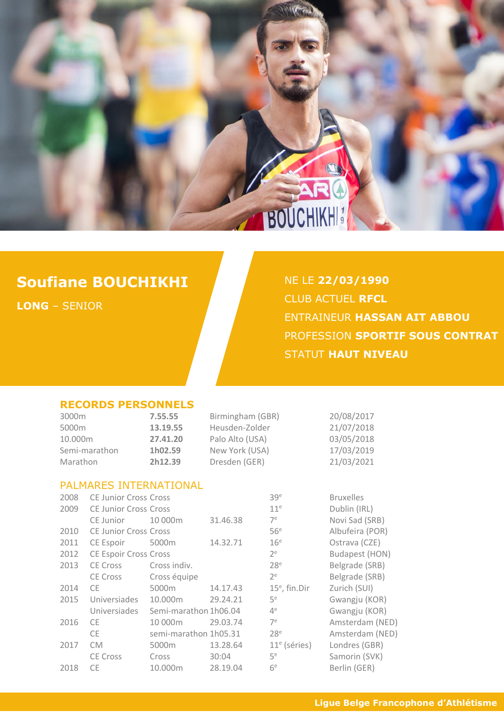

# **Soufiane BOUCHIKHI**

**LONG** – SENIOR

## NE LE **22/03/1990** CLUB ACTUEL **RFCL** ENTRAINEUR **HASSAN AIT ABBOU** PROFESSION **SPORTIF SOUS CONTRAT** STATUT **HAUT NIVEAU**

#### **RECORDS PERSONNELS**

| 3000m         | 7.55.55  | Birmingham (GBR) | 20/08/2017 |
|---------------|----------|------------------|------------|
| 5000m         | 13.19.55 | Heusden-Zolder   | 21/07/2018 |
| 10.000m       | 27.41.20 | Palo Alto (USA)  | 03/05/2018 |
| Semi-marathon | 1h02.59  | New York (USA)   | 17/03/2019 |
| Marathon      | 2h12.39  | Dresden (GER)    | 21/03/2021 |

#### PALMARES INTERNATIONAL

| 2008 | <b>CE Junior Cross Cross</b> |                       |          | 39 <sup>e</sup>  | <b>Bruxelles</b> |
|------|------------------------------|-----------------------|----------|------------------|------------------|
| 2009 | <b>CE Junior Cross Cross</b> |                       |          | 11 <sup>e</sup>  | Dublin (IRL)     |
|      | CE Junior                    | 10 000m               | 31.46.38 | 7 <sup>e</sup>   | Novi Sad (SRB)   |
| 2010 | <b>CE Junior Cross Cross</b> |                       |          | 56 <sup>e</sup>  | Albufeira (POR)  |
| 2011 | CE Espoir                    | 5000m                 | 14.32.71 | 16 <sup>e</sup>  | Ostrava (CZE)    |
| 2012 | <b>CE Espoir Cross Cross</b> |                       |          | $2^e$            | Budapest (HON)   |
| 2013 | <b>CE Cross</b>              | Cross indiv.          |          | 28 <sup>e</sup>  | Belgrade (SRB)   |
|      | <b>CE Cross</b>              | Cross équipe          |          | $2^e$            | Belgrade (SRB)   |
| 2014 | <b>CE</b>                    | 5000m                 | 14.17.43 | $15^e$ , fin.Dir | Zurich (SUI)     |
| 2015 | Universiades                 | 10.000m               | 29.24.21 | 5e               | Gwangju (KOR)    |
|      | Universiades                 | Semi-marathon 1h06.04 |          | 4 <sup>e</sup>   | Gwangju (KOR)    |
| 2016 | <b>CE</b>                    | 10 000m               | 29.03.74 | 7 <sup>e</sup>   | Amsterdam (NED)  |
|      | CE.                          | semi-marathon 1h05.31 |          | 28 <sup>e</sup>  | Amsterdam (NED)  |
| 2017 | <b>CM</b>                    | 5000m                 | 13.28.64 | $11e$ (séries)   | Londres (GBR)    |
|      | <b>CE Cross</b>              | Cross                 | 30:04    | 5 <sup>e</sup>   | Samorin (SVK)    |
| 2018 | CE                           | 10.000m               | 28.19.04 | 6 <sup>e</sup>   | Berlin (GER)     |